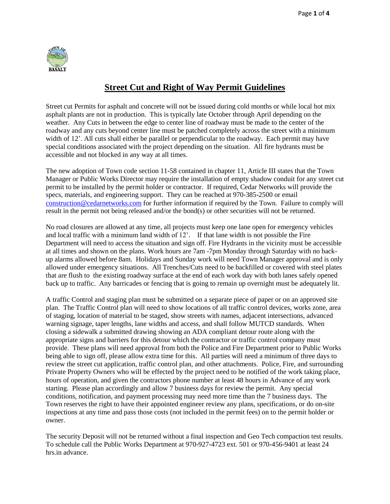

## **Street Cut and Right of Way Permit Guidelines**

Street cut Permits for asphalt and concrete will not be issued during cold months or while local hot mix asphalt plants are not in production. This is typically late October through April depending on the weather. Any Cuts in between the edge to center line of roadway must be made to the center of the roadway and any cuts beyond center line must be patched completely across the street with a minimum width of 12'. All cuts shall either be parallel or perpendicular to the roadway. Each permit may have special conditions associated with the project depending on the situation. All fire hydrants must be accessible and not blocked in any way at all times.

The new adoption of Town code section 11-58 contained in chapter 11, Article III states that the Town Manager or Public Works Director may require the installation of empty shadow conduit for any street cut permit to be installed by the permit holder or contractor. If required, Cedar Networks will provide the specs, materials, and engineering support. They can be reached at 970-385-2500 or email [construction@cedarnetworks.com](mailto:construction@cedarnetworks.com) for further information if required by the Town. Failure to comply will result in the permit not being released and/or the bond(s) or other securities will not be returned.

No road closures are allowed at any time, all projects must keep one lane open for emergency vehicles and local traffic with a minimum land width of 12'. If that lane width is not possible the Fire Department will need to access the situation and sign off. Fire Hydrants in the vicinity must be accessible at all times and shown on the plans. Work hours are 7am -7pm Monday through Saturday with no backup alarms allowed before 8am. Holidays and Sunday work will need Town Manager approval and is only allowed under emergency situations. All Trenches/Cuts need to be backfilled or covered with steel plates that are flush to the existing roadway surface at the end of each work day with both lanes safely opened back up to traffic. Any barricades or fencing that is going to remain up overnight must be adequately lit.

A traffic Control and staging plan must be submitted on a separate piece of paper or on an approved site plan. The Traffic Control plan will need to show locations of all traffic control devices, works zone, area of staging, location of material to be staged, show streets with names, adjacent intersections, advanced warning signage, taper lengths, lane widths and access, and shall follow MUTCD standards. When closing a sidewalk a submitted drawing showing an ADA compliant detour route along with the appropriate signs and barriers for this detour which the contractor or traffic control company must provide. These plans will need approval from both the Police and Fire Department prior to Public Works being able to sign off, please allow extra time for this. All parties will need a minimum of three days to review the street cut application, traffic control plan, and other attachments. Police, Fire, and surrounding Private Property Owners who will be effected by the project need to be notified of the work taking place, hours of operation, and given the contractors phone number at least 48 hours in Advance of any work starting. Please plan accordingly and allow 7 business days for review the permit. Any special conditions, notification, and payment processing may need more time than the 7 business days. The Town reserves the right to have their appointed engineer review any plans, specifications, or do on-site inspections at any time and pass those costs (not included in the permit fees) on to the permit holder or owner.

The security Deposit will not be returned without a final inspection and Geo Tech compaction test results. To schedule call the Public Works Department at 970-927-4723 ext. 501 or 970-456-9401 at least 24 hrs.in advance.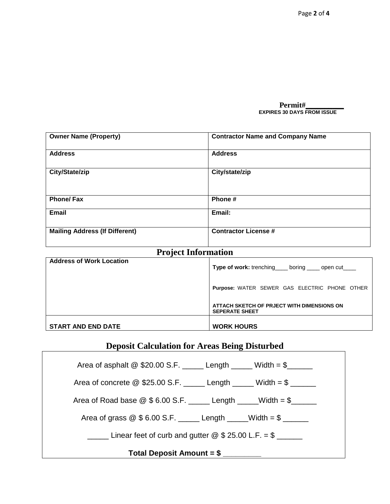**Permit#\_\_\_\_\_\_\_\_\_\_ EXPIRES 30 DAYS FROM ISSUE** 

| <b>Owner Name (Property)</b>          | <b>Contractor Name and Company Name</b> |
|---------------------------------------|-----------------------------------------|
| <b>Address</b>                        | <b>Address</b>                          |
| City/State/zip                        | City/state/zip                          |
| <b>Phone/Fax</b>                      | Phone#                                  |
| <b>Email</b>                          | Email:                                  |
| <b>Mailing Address (If Different)</b> | <b>Contractor License #</b>             |

### **Project Information**

| <b>Address of Work Location</b> | Type of work: trenching____ boring ____ open cut____                |
|---------------------------------|---------------------------------------------------------------------|
|                                 | Purpose: WATER SEWER GAS ELECTRIC PHONE OTHER                       |
|                                 | ATTACH SKETCH OF PRJECT WITH DIMENSIONS ON<br><b>SEPERATE SHEET</b> |
| <b>START AND END DATE</b>       | <b>WORK HOURS</b>                                                   |

## **Deposit Calculation for Areas Being Disturbed**

Area of asphalt  $@$  \$20.00 S.F. \_\_\_\_\_ Length \_\_\_\_\_ Width =  $$\underline{\$}$ Area of concrete  $@$  \$25.00 S.F. \_\_\_\_\_ Length \_\_\_\_\_ Width =  $$\underline{\hspace{1cm}}$ Area of Road base  $@$6.00 S.F.$  Length \_\_\_\_Width =  $$\underline{\$}$ Area of grass  $@$  \$ 6.00 S.F. \_\_\_\_\_ Length \_\_\_\_Width =  $$\_\_$  $\frac{1}{2}$  Linear feet of curb and gutter  $\textcircled{2}$  \$ 25.00 L.F. = \$ **Total Deposit Amount = \$ \_\_\_\_\_\_\_\_\_**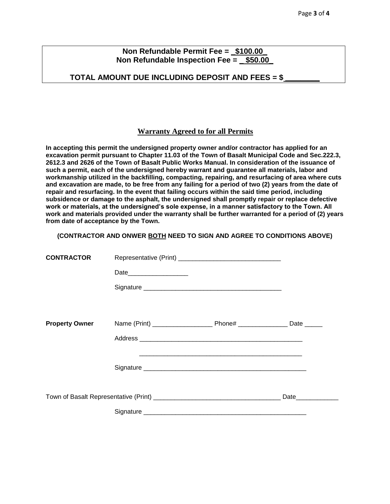#### **Non Refundable Permit Fee = \_\$100.00\_ Non Refundable Inspection Fee = \_ \$50.00\_**

#### **TOTAL AMOUNT DUE INCLUDING DEPOSIT AND FEES = \$ \_\_\_\_\_\_\_\_\_**

#### **Warranty Agreed to for all Permits**

**In accepting this permit the undersigned property owner and/or contractor has applied for an excavation permit pursuant to Chapter 11.03 of the Town of Basalt Municipal Code and Sec.222.3, 2612.3 and 2626 of the Town of Basalt Public Works Manual. In consideration of the issuance of such a permit, each of the undersigned hereby warrant and guarantee all materials, labor and workmanship utilized in the backfilling, compacting, repairing, and resurfacing of area where cuts and excavation are made, to be free from any failing for a period of two (2) years from the date of repair and resurfacing. In the event that failing occurs within the said time period, including subsidence or damage to the asphalt, the undersigned shall promptly repair or replace defective work or materials, at the undersigned's sole expense, in a manner satisfactory to the Town. All work and materials provided under the warranty shall be further warranted for a period of (2) years from date of acceptance by the Town.** 

#### **(CONTRACTOR AND ONWER BOTH NEED TO SIGN AND AGREE TO CONDITIONS ABOVE)**

| <b>CONTRACTOR</b>     |      |                    |
|-----------------------|------|--------------------|
|                       | Date |                    |
|                       |      |                    |
|                       |      |                    |
| <b>Property Owner</b> |      |                    |
|                       |      |                    |
|                       |      |                    |
|                       |      |                    |
|                       |      |                    |
|                       |      | Date______________ |
|                       |      |                    |